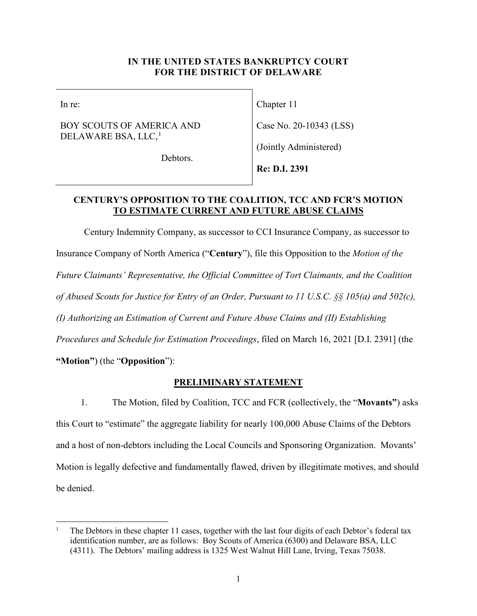### **IN THE UNITED STATES BANKRUPTCY COURT FOR THE DISTRICT OF DELAWARE**

In re:

## BOY SCOUTS OF AMERICA AND DELAWARE BSA, LLC, $^1$  $^1$

Chapter 11

Case No. 20-10343 (LSS)

(Jointly Administered)

Debtors.

**Re: D.I. 2391** 

# **CENTURY'S OPPOSITION TO THE COALITION, TCC AND FCR'S MOTION TO ESTIMATE CURRENT AND FUTURE ABUSE CLAIMS**

Century Indemnity Company, as successor to CCI Insurance Company, as successor to Insurance Company of North America ("**Century**"), file this Opposition to the *Motion of the Future Claimants' Representative, the Official Committee of Tort Claimants, and the Coalition of Abused Scouts for Justice for Entry of an Order, Pursuant to 11 U.S.C. §§ 105(a) and 502(c), (I) Authorizing an Estimation of Current and Future Abuse Claims and (II) Establishing Procedures and Schedule for Estimation Proceedings*, filed on March 16, 2021 [D.I. 2391] (the **"Motion"**) (the "**Opposition**"):

# **PRELIMINARY STATEMENT**

1. The Motion, filed by Coalition, TCC and FCR (collectively, the "**Movants"**) asks this Court to "estimate" the aggregate liability for nearly 100,000 Abuse Claims of the Debtors and a host of non-debtors including the Local Councils and Sponsoring Organization. Movants' Motion is legally defective and fundamentally flawed, driven by illegitimate motives, and should be denied.

<span id="page-0-0"></span><sup>1</sup> The Debtors in these chapter 11 cases, together with the last four digits of each Debtor's federal tax identification number, are as follows: Boy Scouts of America (6300) and Delaware BSA, LLC (4311). The Debtors' mailing address is 1325 West Walnut Hill Lane, Irving, Texas 75038.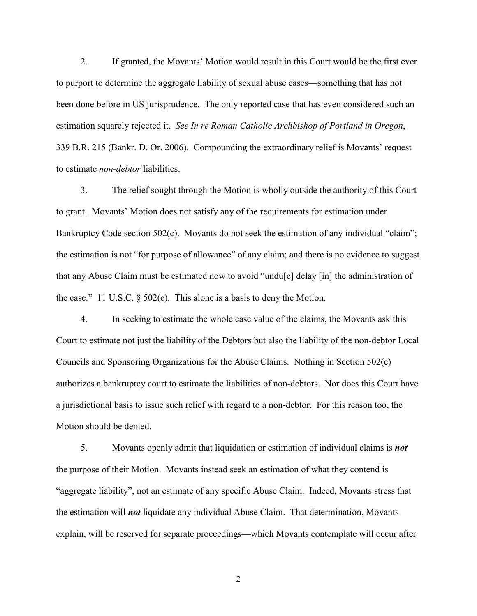2. If granted, the Movants' Motion would result in this Court would be the first ever to purport to determine the aggregate liability of sexual abuse cases—something that has not been done before in US jurisprudence. The only reported case that has even considered such an estimation squarely rejected it. *See In re Roman Catholic Archbishop of Portland in Oregon*, 339 B.R. 215 (Bankr. D. Or. 2006). Compounding the extraordinary relief is Movants' request to estimate *non-debtor* liabilities.

3. The relief sought through the Motion is wholly outside the authority of this Court to grant. Movants' Motion does not satisfy any of the requirements for estimation under Bankruptcy Code section 502(c). Movants do not seek the estimation of any individual "claim"; the estimation is not "for purpose of allowance" of any claim; and there is no evidence to suggest that any Abuse Claim must be estimated now to avoid "undu[e] delay [in] the administration of the case." 11 U.S.C. § 502(c). This alone is a basis to deny the Motion.

4. In seeking to estimate the whole case value of the claims, the Movants ask this Court to estimate not just the liability of the Debtors but also the liability of the non-debtor Local Councils and Sponsoring Organizations for the Abuse Claims. Nothing in Section 502(c) authorizes a bankruptcy court to estimate the liabilities of non-debtors. Nor does this Court have a jurisdictional basis to issue such relief with regard to a non-debtor. For this reason too, the Motion should be denied.

5. Movants openly admit that liquidation or estimation of individual claims is *not* the purpose of their Motion. Movants instead seek an estimation of what they contend is "aggregate liability", not an estimate of any specific Abuse Claim. Indeed, Movants stress that the estimation will *not* liquidate any individual Abuse Claim. That determination, Movants explain, will be reserved for separate proceedings—which Movants contemplate will occur after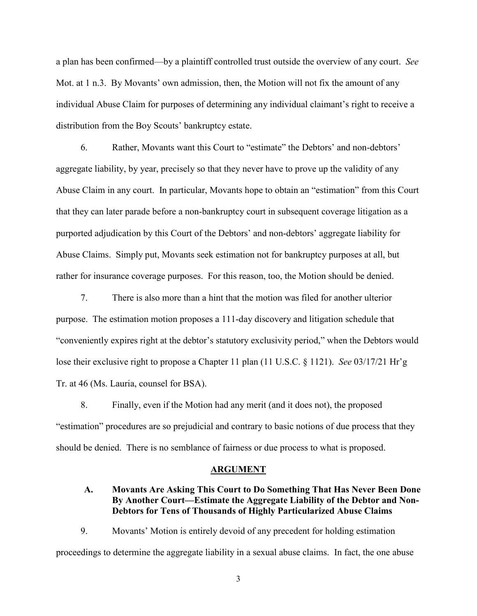a plan has been confirmed—by a plaintiff controlled trust outside the overview of any court. *See*  Mot. at 1 n.3. By Movants' own admission, then, the Motion will not fix the amount of any individual Abuse Claim for purposes of determining any individual claimant's right to receive a distribution from the Boy Scouts' bankruptcy estate.

6. Rather, Movants want this Court to "estimate" the Debtors' and non-debtors' aggregate liability, by year, precisely so that they never have to prove up the validity of any Abuse Claim in any court. In particular, Movants hope to obtain an "estimation" from this Court that they can later parade before a non-bankruptcy court in subsequent coverage litigation as a purported adjudication by this Court of the Debtors' and non-debtors' aggregate liability for Abuse Claims. Simply put, Movants seek estimation not for bankruptcy purposes at all, but rather for insurance coverage purposes. For this reason, too, the Motion should be denied.

7. There is also more than a hint that the motion was filed for another ulterior purpose. The estimation motion proposes a 111-day discovery and litigation schedule that "conveniently expires right at the debtor's statutory exclusivity period," when the Debtors would lose their exclusive right to propose a Chapter 11 plan (11 U.S.C. § 1121). *See* 03/17/21 Hr'g Tr. at 46 (Ms. Lauria, counsel for BSA).

8. Finally, even if the Motion had any merit (and it does not), the proposed "estimation" procedures are so prejudicial and contrary to basic notions of due process that they should be denied. There is no semblance of fairness or due process to what is proposed.

#### **ARGUMENT**

# **A. Movants Are Asking This Court to Do Something That Has Never Been Done By Another Court—Estimate the Aggregate Liability of the Debtor and Non-Debtors for Tens of Thousands of Highly Particularized Abuse Claims**

9. Movants' Motion is entirely devoid of any precedent for holding estimation proceedings to determine the aggregate liability in a sexual abuse claims. In fact, the one abuse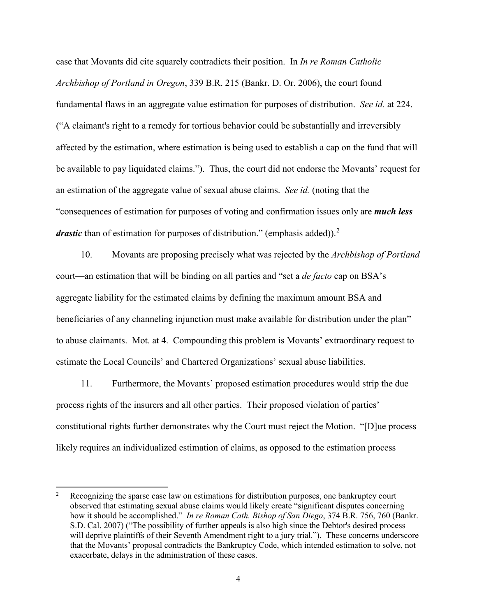case that Movants did cite squarely contradicts their position. In *In re Roman Catholic Archbishop of Portland in Oregon*, 339 B.R. 215 (Bankr. D. Or. 2006), the court found fundamental flaws in an aggregate value estimation for purposes of distribution. *See id.* at 224. ("A claimant's right to a remedy for tortious behavior could be substantially and irreversibly affected by the estimation, where estimation is being used to establish a cap on the fund that will be available to pay liquidated claims."). Thus, the court did not endorse the Movants' request for an estimation of the aggregate value of sexual abuse claims. *See id.* (noting that the "consequences of estimation for purposes of voting and confirmation issues only are *much less drastic* than of estimation for purposes of distribution." (emphasis added)).<sup>[2](#page-3-0)</sup>

10. Movants are proposing precisely what was rejected by the *Archbishop of Portland* court—an estimation that will be binding on all parties and "set a *de facto* cap on BSA's aggregate liability for the estimated claims by defining the maximum amount BSA and beneficiaries of any channeling injunction must make available for distribution under the plan" to abuse claimants. Mot. at 4. Compounding this problem is Movants' extraordinary request to estimate the Local Councils' and Chartered Organizations' sexual abuse liabilities.

11. Furthermore, the Movants' proposed estimation procedures would strip the due process rights of the insurers and all other parties. Their proposed violation of parties' constitutional rights further demonstrates why the Court must reject the Motion. "[D]ue process likely requires an individualized estimation of claims, as opposed to the estimation process

<span id="page-3-0"></span><sup>&</sup>lt;sup>2</sup> Recognizing the sparse case law on estimations for distribution purposes, one bankruptcy court observed that estimating sexual abuse claims would likely create "significant disputes concerning how it should be accomplished." *In re Roman Cath. Bishop of San Diego*, 374 B.R. 756, 760 (Bankr. S.D. Cal. 2007) ("The possibility of further appeals is also high since the Debtor's desired process will deprive plaintiffs of their Seventh Amendment right to a jury trial."). These concerns underscore that the Movants' proposal contradicts the Bankruptcy Code, which intended estimation to solve, not exacerbate, delays in the administration of these cases.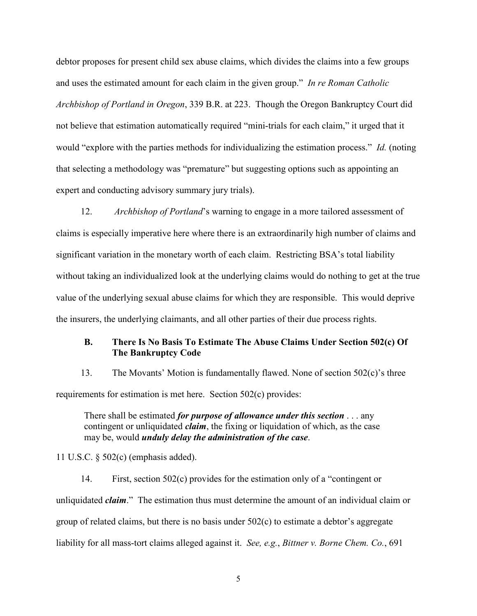debtor proposes for present child sex abuse claims, which divides the claims into a few groups and uses the estimated amount for each claim in the given group." *In re Roman Catholic Archbishop of Portland in Oregon*, 339 B.R. at 223. Though the Oregon Bankruptcy Court did not believe that estimation automatically required "mini-trials for each claim," it urged that it would "explore with the parties methods for individualizing the estimation process." *Id.* (noting that selecting a methodology was "premature" but suggesting options such as appointing an expert and conducting advisory summary jury trials).

12. *Archbishop of Portland*'s warning to engage in a more tailored assessment of claims is especially imperative here where there is an extraordinarily high number of claims and significant variation in the monetary worth of each claim. Restricting BSA's total liability without taking an individualized look at the underlying claims would do nothing to get at the true value of the underlying sexual abuse claims for which they are responsible. This would deprive the insurers, the underlying claimants, and all other parties of their due process rights.

# **B. There Is No Basis To Estimate The Abuse Claims Under Section 502(c) Of The Bankruptcy Code**

13. The Movants' Motion is fundamentally flawed. None of section 502(c)'s three requirements for estimation is met here. Section 502(c) provides:

There shall be estimated *for purpose of allowance under this section* . . . any contingent or unliquidated *claim*, the fixing or liquidation of which, as the case may be, would *unduly delay the administration of the case*.

11 U.S.C. § 502(c) (emphasis added).

14. First, section 502(c) provides for the estimation only of a "contingent or unliquidated *claim*." The estimation thus must determine the amount of an individual claim or group of related claims, but there is no basis under 502(c) to estimate a debtor's aggregate liability for all mass-tort claims alleged against it. *See, e.g.*, *Bittner v. Borne Chem. Co.*, 691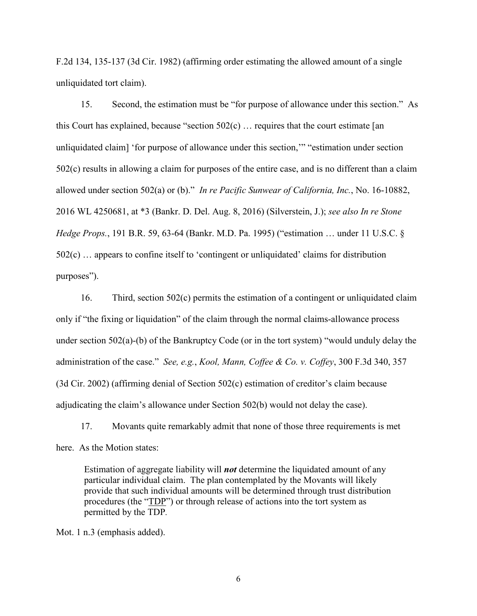F.2d 134, 135-137 (3d Cir. 1982) (affirming order estimating the allowed amount of a single unliquidated tort claim).

15. Second, the estimation must be "for purpose of allowance under this section." As this Court has explained, because "section  $502(c)$  ... requires that the court estimate [an unliquidated claim] 'for purpose of allowance under this section,'" "estimation under section 502(c) results in allowing a claim for purposes of the entire case, and is no different than a claim allowed under section 502(a) or (b)." *In re Pacific Sunwear of California, Inc.*, No. 16-10882, 2016 WL 4250681, at \*3 (Bankr. D. Del. Aug. 8, 2016) (Silverstein, J.); *see also In re Stone Hedge Props.*, 191 B.R. 59, 63-64 (Bankr. M.D. Pa. 1995) ("estimation … under 11 U.S.C. § 502(c) … appears to confine itself to 'contingent or unliquidated' claims for distribution purposes").

16. Third, section 502(c) permits the estimation of a contingent or unliquidated claim only if "the fixing or liquidation" of the claim through the normal claims-allowance process under section 502(a)-(b) of the Bankruptcy Code (or in the tort system) "would unduly delay the administration of the case." *See, e.g.*, *Kool, Mann, Coffee & Co. v. Coffey*, 300 F.3d 340, 357 (3d Cir. 2002) (affirming denial of Section 502(c) estimation of creditor's claim because adjudicating the claim's allowance under Section 502(b) would not delay the case).

17. Movants quite remarkably admit that none of those three requirements is met here. As the Motion states:

Estimation of aggregate liability will *not* determine the liquidated amount of any particular individual claim. The plan contemplated by the Movants will likely provide that such individual amounts will be determined through trust distribution procedures (the "TDP") or through release of actions into the tort system as permitted by the TDP*.*

Mot. 1 n.3 (emphasis added).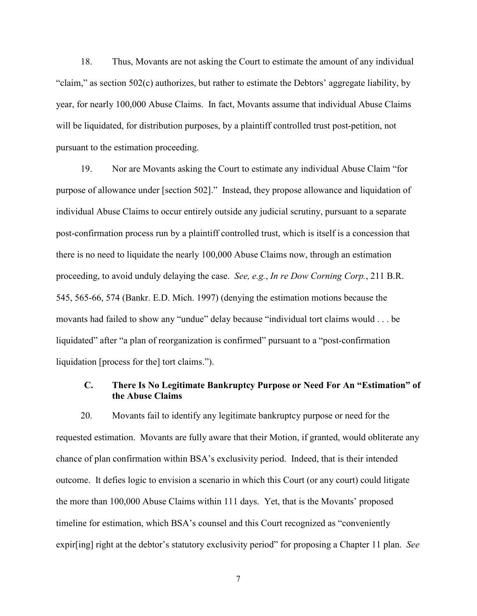18. Thus, Movants are not asking the Court to estimate the amount of any individual "claim," as section 502(c) authorizes, but rather to estimate the Debtors' aggregate liability, by year, for nearly 100,000 Abuse Claims. In fact, Movants assume that individual Abuse Claims will be liquidated, for distribution purposes, by a plaintiff controlled trust post-petition, not pursuant to the estimation proceeding.

19. Nor are Movants asking the Court to estimate any individual Abuse Claim "for purpose of allowance under [section 502]." Instead, they propose allowance and liquidation of individual Abuse Claims to occur entirely outside any judicial scrutiny, pursuant to a separate post-confirmation process run by a plaintiff controlled trust, which is itself is a concession that there is no need to liquidate the nearly 100,000 Abuse Claims now, through an estimation proceeding, to avoid unduly delaying the case. *See, e.g.*, *In re Dow Corning Corp.*, 211 B.R. 545, 565-66, 574 (Bankr. E.D. Mich. 1997) (denying the estimation motions because the movants had failed to show any "undue" delay because "individual tort claims would . . . be liquidated" after "a plan of reorganization is confirmed" pursuant to a "post-confirmation liquidation [process for the] tort claims.").

# **C. There Is No Legitimate Bankruptcy Purpose or Need For An "Estimation" of the Abuse Claims**

20. Movants fail to identify any legitimate bankruptcy purpose or need for the requested estimation. Movants are fully aware that their Motion, if granted, would obliterate any chance of plan confirmation within BSA's exclusivity period. Indeed, that is their intended outcome. It defies logic to envision a scenario in which this Court (or any court) could litigate the more than 100,000 Abuse Claims within 111 days. Yet, that is the Movants' proposed timeline for estimation, which BSA's counsel and this Court recognized as "conveniently expir[ing] right at the debtor's statutory exclusivity period" for proposing a Chapter 11 plan. *See*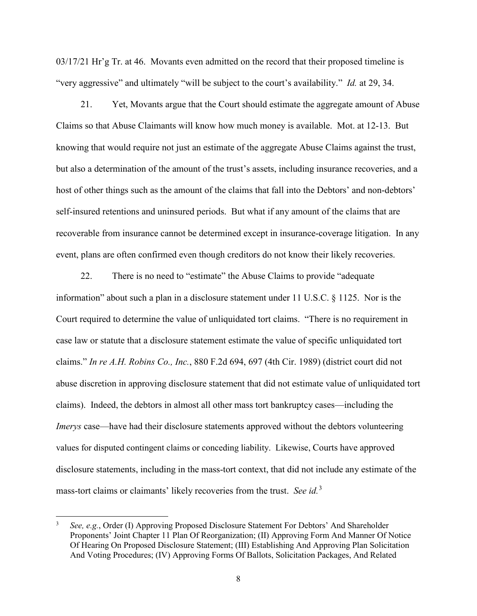03/17/21 Hr'g Tr. at 46. Movants even admitted on the record that their proposed timeline is "very aggressive" and ultimately "will be subject to the court's availability." *Id.* at 29, 34.

21. Yet, Movants argue that the Court should estimate the aggregate amount of Abuse Claims so that Abuse Claimants will know how much money is available. Mot. at 12-13. But knowing that would require not just an estimate of the aggregate Abuse Claims against the trust, but also a determination of the amount of the trust's assets, including insurance recoveries, and a host of other things such as the amount of the claims that fall into the Debtors' and non-debtors' self-insured retentions and uninsured periods. But what if any amount of the claims that are recoverable from insurance cannot be determined except in insurance-coverage litigation. In any event, plans are often confirmed even though creditors do not know their likely recoveries.

22. There is no need to "estimate" the Abuse Claims to provide "adequate information" about such a plan in a disclosure statement under 11 U.S.C. § 1125. Nor is the Court required to determine the value of unliquidated tort claims. "There is no requirement in case law or statute that a disclosure statement estimate the value of specific unliquidated tort claims." *In re A.H. Robins Co., Inc.*, 880 F.2d 694, 697 (4th Cir. 1989) (district court did not abuse discretion in approving disclosure statement that did not estimate value of unliquidated tort claims). Indeed, the debtors in almost all other mass tort bankruptcy cases—including the *Imerys* case—have had their disclosure statements approved without the debtors volunteering values for disputed contingent claims or conceding liability. Likewise, Courts have approved disclosure statements, including in the mass-tort context, that did not include any estimate of the mass-tort claims or claimants' likely recoveries from the trust. *See id.*[3](#page-7-0)

<span id="page-7-0"></span> <sup>3</sup> *See, e.g.*, Order (I) Approving Proposed Disclosure Statement For Debtors' And Shareholder Proponents' Joint Chapter 11 Plan Of Reorganization; (II) Approving Form And Manner Of Notice Of Hearing On Proposed Disclosure Statement; (III) Establishing And Approving Plan Solicitation And Voting Procedures; (IV) Approving Forms Of Ballots, Solicitation Packages, And Related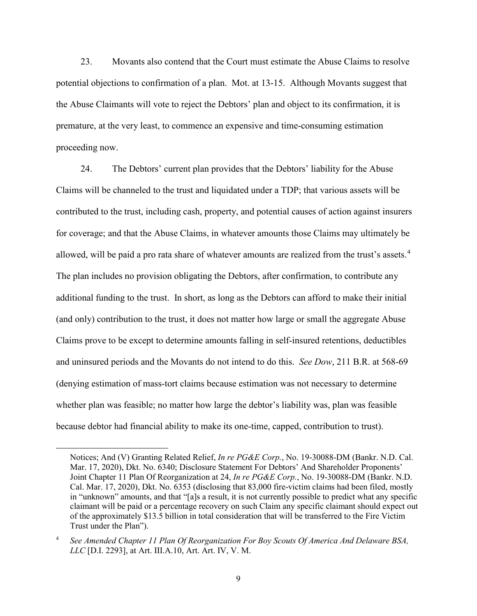23. Movants also contend that the Court must estimate the Abuse Claims to resolve potential objections to confirmation of a plan. Mot. at 13-15. Although Movants suggest that the Abuse Claimants will vote to reject the Debtors' plan and object to its confirmation, it is premature, at the very least, to commence an expensive and time-consuming estimation proceeding now.

24. The Debtors' current plan provides that the Debtors' liability for the Abuse Claims will be channeled to the trust and liquidated under a TDP; that various assets will be contributed to the trust, including cash, property, and potential causes of action against insurers for coverage; and that the Abuse Claims, in whatever amounts those Claims may ultimately be allowed, will be paid a pro rata share of whatever amounts are realized from the trust's assets.<sup>[4](#page-8-0)</sup> The plan includes no provision obligating the Debtors, after confirmation, to contribute any additional funding to the trust. In short, as long as the Debtors can afford to make their initial (and only) contribution to the trust, it does not matter how large or small the aggregate Abuse Claims prove to be except to determine amounts falling in self-insured retentions, deductibles and uninsured periods and the Movants do not intend to do this. *See Dow*, 211 B.R. at 568-69 (denying estimation of mass-tort claims because estimation was not necessary to determine whether plan was feasible; no matter how large the debtor's liability was, plan was feasible because debtor had financial ability to make its one-time, capped, contribution to trust).

 $\overline{a}$ 

Notices; And (V) Granting Related Relief, *In re PG&E Corp.*, No. 19-30088-DM (Bankr. N.D. Cal. Mar. 17, 2020), Dkt. No. 6340; Disclosure Statement For Debtors' And Shareholder Proponents' Joint Chapter 11 Plan Of Reorganization at 24, *In re PG&E Corp.*, No. 19-30088-DM (Bankr. N.D. Cal. Mar. 17, 2020), Dkt. No. 6353 (disclosing that 83,000 fire-victim claims had been filed, mostly in "unknown" amounts, and that "[a]s a result, it is not currently possible to predict what any specific claimant will be paid or a percentage recovery on such Claim any specific claimant should expect out of the approximately \$13.5 billion in total consideration that will be transferred to the Fire Victim Trust under the Plan").

<span id="page-8-0"></span><sup>4</sup> *See Amended Chapter 11 Plan Of Reorganization For Boy Scouts Of America And Delaware BSA, LLC* [D.I. 2293], at Art. III.A.10, Art. Art. IV, V. M.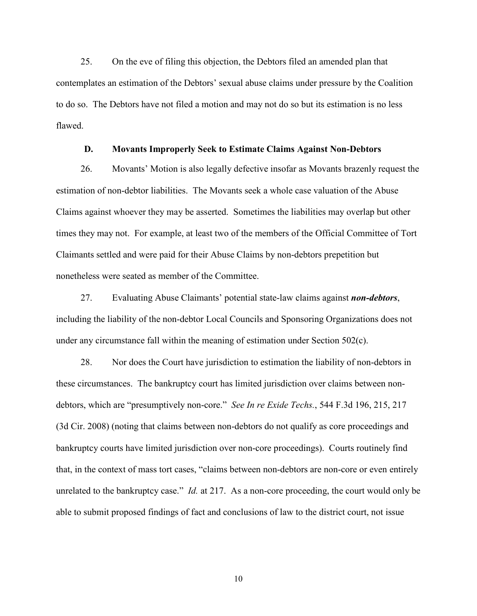25. On the eve of filing this objection, the Debtors filed an amended plan that contemplates an estimation of the Debtors' sexual abuse claims under pressure by the Coalition to do so. The Debtors have not filed a motion and may not do so but its estimation is no less flawed.

#### **D. Movants Improperly Seek to Estimate Claims Against Non-Debtors**

26. Movants' Motion is also legally defective insofar as Movants brazenly request the estimation of non-debtor liabilities. The Movants seek a whole case valuation of the Abuse Claims against whoever they may be asserted. Sometimes the liabilities may overlap but other times they may not. For example, at least two of the members of the Official Committee of Tort Claimants settled and were paid for their Abuse Claims by non-debtors prepetition but nonetheless were seated as member of the Committee.

27. Evaluating Abuse Claimants' potential state-law claims against *non-debtors*, including the liability of the non-debtor Local Councils and Sponsoring Organizations does not under any circumstance fall within the meaning of estimation under Section 502(c).

28. Nor does the Court have jurisdiction to estimation the liability of non-debtors in these circumstances. The bankruptcy court has limited jurisdiction over claims between nondebtors, which are "presumptively non-core." *See In re Exide Techs.*, 544 F.3d 196, 215, 217 (3d Cir. 2008) (noting that claims between non-debtors do not qualify as core proceedings and bankruptcy courts have limited jurisdiction over non-core proceedings). Courts routinely find that, in the context of mass tort cases, "claims between non-debtors are non-core or even entirely unrelated to the bankruptcy case." *Id.* at 217. As a non-core proceeding, the court would only be able to submit proposed findings of fact and conclusions of law to the district court, not issue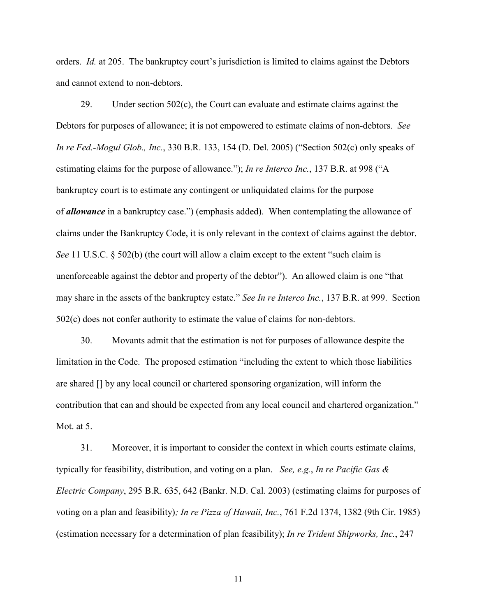orders. *Id.* at 205. The bankruptcy court's jurisdiction is limited to claims against the Debtors and cannot extend to non-debtors.

29. Under section 502(c), the Court can evaluate and estimate claims against the Debtors for purposes of allowance; it is not empowered to estimate claims of non-debtors. *See In re Fed.-Mogul Glob., Inc.*, 330 B.R. 133, 154 (D. Del. 2005) ("Section 502(c) only speaks of estimating claims for the purpose of allowance."); *In re Interco Inc.*, 137 B.R. at 998 ("A bankruptcy court is to estimate any contingent or unliquidated claims for the purpose of *allowance* in a bankruptcy case.") (emphasis added). When contemplating the allowance of claims under the Bankruptcy Code, it is only relevant in the context of claims against the debtor. *See* 11 U.S.C.  $\S$  502(b) (the court will allow a claim except to the extent "such claim is unenforceable against the debtor and property of the debtor"). An allowed claim is one "that may share in the assets of the bankruptcy estate." *See In re Interco Inc.*, 137 B.R. at 999. Section 502(c) does not confer authority to estimate the value of claims for non-debtors.

30. Movants admit that the estimation is not for purposes of allowance despite the limitation in the Code. The proposed estimation "including the extent to which those liabilities are shared [] by any local council or chartered sponsoring organization, will inform the contribution that can and should be expected from any local council and chartered organization." Mot. at 5.

31. Moreover, it is important to consider the context in which courts estimate claims, typically for feasibility, distribution, and voting on a plan. *See, e.g.*, *In re Pacific Gas & Electric Company*, 295 B.R. 635, 642 (Bankr. N.D. Cal. 2003) (estimating claims for purposes of voting on a plan and feasibility)*; In re Pizza of Hawaii, Inc.*, 761 F.2d 1374, 1382 (9th Cir. 1985) (estimation necessary for a determination of plan feasibility); *In re Trident Shipworks, Inc.*, 247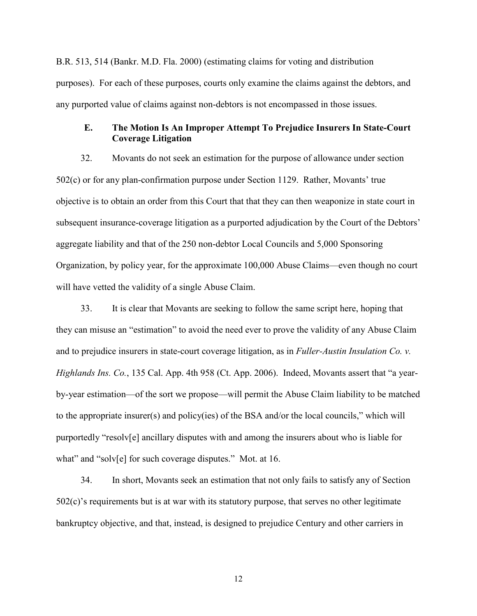B.R. 513, 514 (Bankr. M.D. Fla. 2000) (estimating claims for voting and distribution purposes). For each of these purposes, courts only examine the claims against the debtors, and any purported value of claims against non-debtors is not encompassed in those issues.

### **E. The Motion Is An Improper Attempt To Prejudice Insurers In State-Court Coverage Litigation**

32. Movants do not seek an estimation for the purpose of allowance under section 502(c) or for any plan-confirmation purpose under Section 1129. Rather, Movants' true objective is to obtain an order from this Court that that they can then weaponize in state court in subsequent insurance-coverage litigation as a purported adjudication by the Court of the Debtors' aggregate liability and that of the 250 non-debtor Local Councils and 5,000 Sponsoring Organization, by policy year, for the approximate 100,000 Abuse Claims—even though no court will have vetted the validity of a single Abuse Claim.

33. It is clear that Movants are seeking to follow the same script here, hoping that they can misuse an "estimation" to avoid the need ever to prove the validity of any Abuse Claim and to prejudice insurers in state-court coverage litigation, as in *Fuller-Austin Insulation Co. v. Highlands Ins. Co.*, 135 Cal. App. 4th 958 (Ct. App. 2006). Indeed, Movants assert that "a yearby-year estimation—of the sort we propose—will permit the Abuse Claim liability to be matched to the appropriate insurer(s) and policy(ies) of the BSA and/or the local councils," which will purportedly "resolv[e] ancillary disputes with and among the insurers about who is liable for what" and "solv[e] for such coverage disputes." Mot. at 16.

34. In short, Movants seek an estimation that not only fails to satisfy any of Section 502(c)'s requirements but is at war with its statutory purpose, that serves no other legitimate bankruptcy objective, and that, instead, is designed to prejudice Century and other carriers in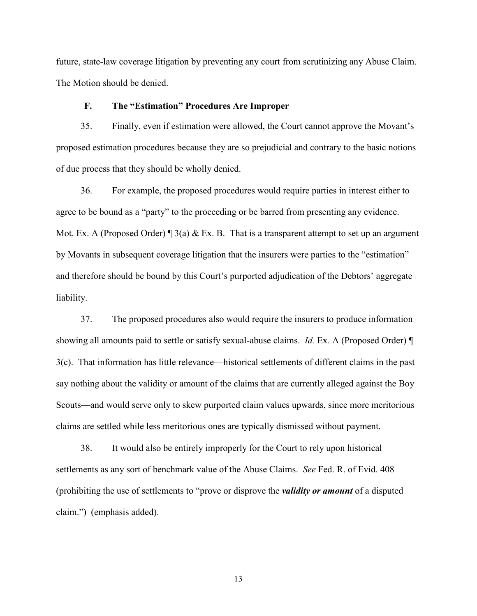future, state-law coverage litigation by preventing any court from scrutinizing any Abuse Claim. The Motion should be denied.

#### **F. The "Estimation" Procedures Are Improper**

35. Finally, even if estimation were allowed, the Court cannot approve the Movant's proposed estimation procedures because they are so prejudicial and contrary to the basic notions of due process that they should be wholly denied.

36. For example, the proposed procedures would require parties in interest either to agree to be bound as a "party" to the proceeding or be barred from presenting any evidence. Mot. Ex. A (Proposed Order)  $\parallel$  3(a) & Ex. B. That is a transparent attempt to set up an argument by Movants in subsequent coverage litigation that the insurers were parties to the "estimation" and therefore should be bound by this Court's purported adjudication of the Debtors' aggregate liability.

37. The proposed procedures also would require the insurers to produce information showing all amounts paid to settle or satisfy sexual-abuse claims. *Id.* Ex. A (Proposed Order) ¶ 3(c). That information has little relevance—historical settlements of different claims in the past say nothing about the validity or amount of the claims that are currently alleged against the Boy Scouts—and would serve only to skew purported claim values upwards, since more meritorious claims are settled while less meritorious ones are typically dismissed without payment.

38. It would also be entirely improperly for the Court to rely upon historical settlements as any sort of benchmark value of the Abuse Claims. *See* Fed. R. of Evid. 408 (prohibiting the use of settlements to "prove or disprove the *validity or amount* of a disputed claim.") (emphasis added).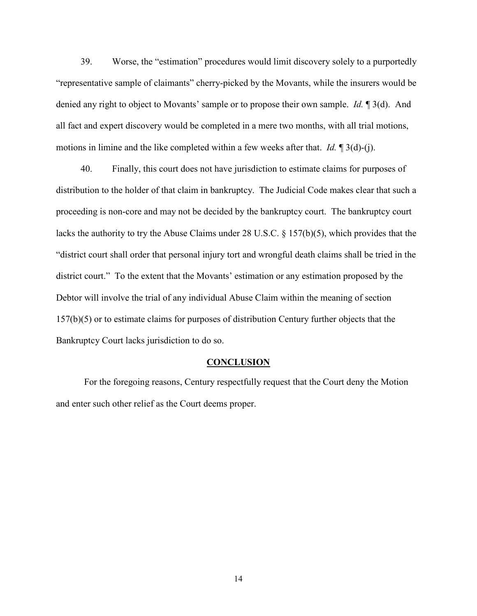39. Worse, the "estimation" procedures would limit discovery solely to a purportedly "representative sample of claimants" cherry-picked by the Movants, while the insurers would be denied any right to object to Movants' sample or to propose their own sample. *Id.* ¶ 3(d). And all fact and expert discovery would be completed in a mere two months, with all trial motions, motions in limine and the like completed within a few weeks after that. *Id.* ¶ 3(d)-(j).

40. Finally, this court does not have jurisdiction to estimate claims for purposes of distribution to the holder of that claim in bankruptcy. The Judicial Code makes clear that such a proceeding is non-core and may not be decided by the bankruptcy court. The bankruptcy court lacks the authority to try the Abuse Claims under 28 U.S.C. § 157(b)(5), which provides that the "district court shall order that personal injury tort and wrongful death claims shall be tried in the district court." To the extent that the Movants' estimation or any estimation proposed by the Debtor will involve the trial of any individual Abuse Claim within the meaning of section 157(b)(5) or to estimate claims for purposes of distribution Century further objects that the Bankruptcy Court lacks jurisdiction to do so.

#### **CONCLUSION**

For the foregoing reasons, Century respectfully request that the Court deny the Motion and enter such other relief as the Court deems proper.